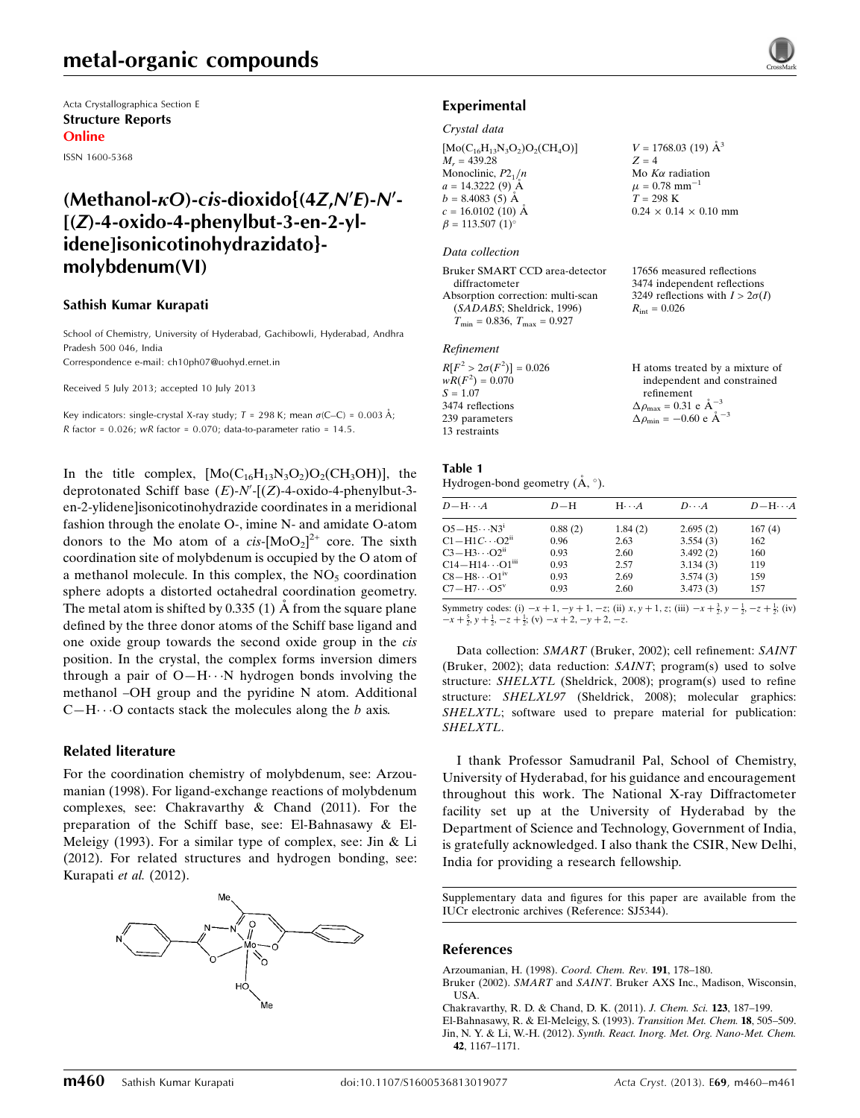Acta Crystallographica Section E Structure Reports Online

ISSN 1600-5368

## (Methanol- $\kappa$ O)-cis-dioxido{(4Z,N'E)-N'- $[(Z)-4-oxido-4-phenvlbut-3-en-2-v]$ idene]isonicotinohydrazidato} molybdenum(VI)

#### Sathish Kumar Kurapati

School of Chemistry, University of Hyderabad, Gachibowli, Hyderabad, Andhra Pradesh 500 046, India Correspondence e-mail: [ch10ph07@uohyd.ernet.in](https://scripts.iucr.org/cgi-bin/cr.cgi?rm=pdfbb&cnor=sj5344&bbid=BB8)

Received 5 July 2013; accepted 10 July 2013

Key indicators: single-crystal X-ray study;  $T = 298$  K; mean  $\sigma$ (C–C) = 0.003 Å; R factor =  $0.026$ ; wR factor =  $0.070$ ; data-to-parameter ratio =  $14.5$ .

In the title complex,  $[Mo(C_{16}H_{13}N_3O_2)O_2(CH_3OH)]$ , the deprotonated Schiff base  $(E)$ -N'-[ $(Z)$ -4-oxido-4-phenylbut-3en-2-ylidene]isonicotinohydrazide coordinates in a meridional fashion through the enolate O-, imine N- and amidate O-atom donors to the Mo atom of a  $cis$ - $[MoO<sub>2</sub>]^{2+}$  core. The sixth coordination site of molybdenum is occupied by the O atom of a methanol molecule. In this complex, the  $NO<sub>5</sub>$  coordination sphere adopts a distorted octahedral coordination geometry. The metal atom is shifted by  $0.335(1)$  Å from the square plane defined by the three donor atoms of the Schiff base ligand and one oxide group towards the second oxide group in the cis position. In the crystal, the complex forms inversion dimers through a pair of  $O-H \cdots N$  hydrogen bonds involving the methanol –OH group and the pyridine N atom. Additional  $C-H \cdots O$  contacts stack the molecules along the b axis.

#### Related literature

For the coordination chemistry of molybdenum, see: Arzoumanian (1998). For ligand-exchange reactions of molybdenum complexes, see: Chakravarthy & Chand (2011). For the preparation of the Schiff base, see: El-Bahnasawy & El-Meleigy (1993). For a similar type of complex, see: Jin & Li (2012). For related structures and hydrogen bonding, see: Kurapati et al. (2012).





#### Crystal data

 $[Mo(C_{16}H_{13}N_3O_2)O_2(CH_4O)]$  $M_r = 439.28$ Monoclinic,  $P2_1/n$  $a = 14.3222(9)$  Å  $b = 8.4083(5)$  Å  $c = 16.0102$  (10) Å  $\beta = 113.507 (1)$ °

#### Data collection

Bruker SMART CCD area-detector diffractometer Absorption correction: multi-scan (SADABS; Sheldrick, 1996)  $T_{\text{min}} = 0.836, T_{\text{max}} = 0.927$ 

#### Refinement

| $R[F^2 > 2\sigma(F^2)] = 0.026$ | H atoms treated by a mixture of                             |
|---------------------------------|-------------------------------------------------------------|
| $wR(F^2) = 0.070$               | independent and constrained                                 |
| $S = 1.07$                      | refinement                                                  |
| 3474 reflections                | $\Delta \rho_{\text{max}} = 0.31 \text{ e A}^{-3}$          |
| 239 parameters                  | $\Delta \rho_{\text{min}} = -0.60 \text{ e} \text{ Å}^{-3}$ |
| 13 restraints                   |                                                             |

#### Table 1 Hydrogen-bond geometry  $(\mathring{A}, \degree)$ .

| $D\!-\!\mathrm{H}\!\cdots\! A$    | $D-H$   | $H \cdot \cdot \cdot A$ | $D\cdots A$ | $D - H \cdots A$ |
|-----------------------------------|---------|-------------------------|-------------|------------------|
| $O5 - H5 \cdots N3^1$             | 0.88(2) | 1.84(2)                 | 2.695(2)    | 167(4)           |
| $C1 - H1C \cdots O2^{ii}$         | 0.96    | 2.63                    | 3.554(3)    | 162              |
| $C3 - H3 \cdots O2$ <sup>ii</sup> | 0.93    | 2.60                    | 3.492(2)    | 160              |
| $C14 - H14 \cdots O1^m$           | 0.93    | 2.57                    | 3.134(3)    | 119              |
| $CS-H8\cdots O1iv$                | 0.93    | 2.69                    | 3.574(3)    | 159              |
| $C7 - H7 \cdots O5^v$             | 0.93    | 2.60                    | 3.473(3)    | 157              |

 $V = 1768.03$  (19)  $\AA^3$ 

 $0.24 \times 0.14 \times 0.10$  mm

17656 measured reflections 3474 independent reflections 3249 reflections with  $I > 2\sigma(I)$ 

Mo  $K\alpha$  radiation  $\mu = 0.78$  mm<sup>-1</sup>  $T = 298 \text{ K}$ 

 $R_{\text{int}} = 0.026$ 

 $Z = 4$ 

Symmetry codes: (i)  $-x + 1$ ,  $-y + 1$ ,  $-z$ ; (ii)  $x, y + 1$ ,  $z$ ; (iii)  $-x + \frac{3}{2}$ ,  $y - \frac{1}{2}$ ,  $-z + \frac{1}{2}$ ; (iv)  $-x+\frac{5}{2}, y+\frac{1}{2}, -z+\frac{1}{2}$ ; (v)  $-x+2, -y+2, -z$ .

Data collection: SMART (Bruker, 2002); cell refinement: SAINT (Bruker, 2002); data reduction: SAINT; program(s) used to solve structure: SHELXTL (Sheldrick, 2008); program(s) used to refine structure: SHELXL97 (Sheldrick, 2008); molecular graphics: SHELXTL; software used to prepare material for publication: SHELXTL.

I thank Professor Samudranil Pal, School of Chemistry, University of Hyderabad, for his guidance and encouragement throughout this work. The National X-ray Diffractometer facility set up at the University of Hyderabad by the Department of Science and Technology, Government of India, is gratefully acknowledged. I also thank the CSIR, New Delhi, India for providing a research fellowship.

Supplementary data and figures for this paper are available from the IUCr electronic archives (Reference: SJ5344).

#### References

- [Arzoumanian, H. \(1998\).](https://scripts.iucr.org/cgi-bin/cr.cgi?rm=pdfbb&cnor=sj5344&bbid=BB1) Coord. Chem. Rev. 191, 178–180.
- Bruker (2002). SMART and SAINT[. Bruker AXS Inc., Madison, Wisconsin,](https://scripts.iucr.org/cgi-bin/cr.cgi?rm=pdfbb&cnor=sj5344&bbid=BB2) [USA.](https://scripts.iucr.org/cgi-bin/cr.cgi?rm=pdfbb&cnor=sj5344&bbid=BB2)
- [Chakravarthy, R. D. & Chand, D. K. \(2011\).](https://scripts.iucr.org/cgi-bin/cr.cgi?rm=pdfbb&cnor=sj5344&bbid=BB3) J. Chem. Sci. 123, 187–199.
- [El-Bahnasawy, R. & El-Meleigy, S. \(1993\).](https://scripts.iucr.org/cgi-bin/cr.cgi?rm=pdfbb&cnor=sj5344&bbid=BB4) Transition Met. Chem. 18, 505–509. Jin, N. Y. & Li, W.-H. (2012). [Synth. React. Inorg. Met. Org. Nano-Met. Chem.](https://scripts.iucr.org/cgi-bin/cr.cgi?rm=pdfbb&cnor=sj5344&bbid=BB5) 42[, 1167–1171.](https://scripts.iucr.org/cgi-bin/cr.cgi?rm=pdfbb&cnor=sj5344&bbid=BB5)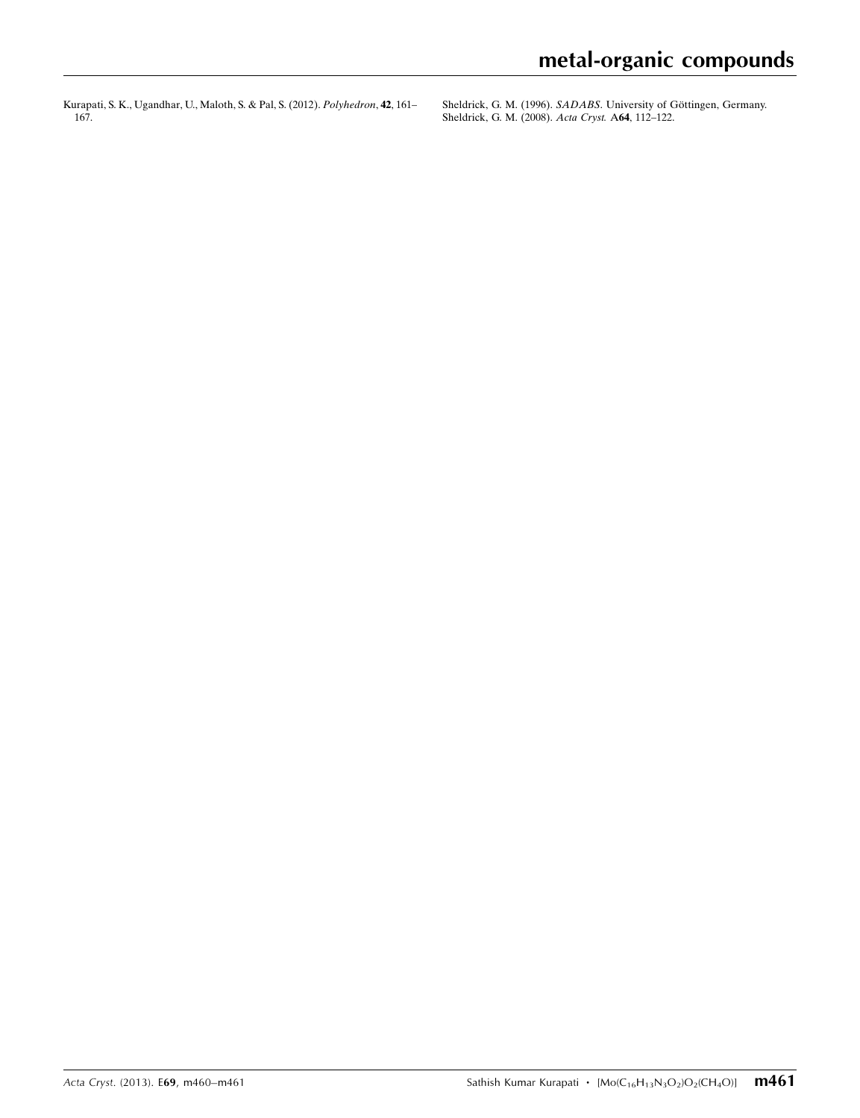[Kurapati, S. K., Ugandhar, U., Maloth, S. & Pal, S. \(2012\).](https://scripts.iucr.org/cgi-bin/cr.cgi?rm=pdfbb&cnor=sj5344&bbid=BB6) Polyhedron, 42, 161– [167.](https://scripts.iucr.org/cgi-bin/cr.cgi?rm=pdfbb&cnor=sj5344&bbid=BB6)

Sheldrick, G. M. (1996). SADABS. University of Göttingen, Germany. [Sheldrick, G. M. \(2008\).](https://scripts.iucr.org/cgi-bin/cr.cgi?rm=pdfbb&cnor=sj5344&bbid=BB8) Acta Cryst. A64, 112–122.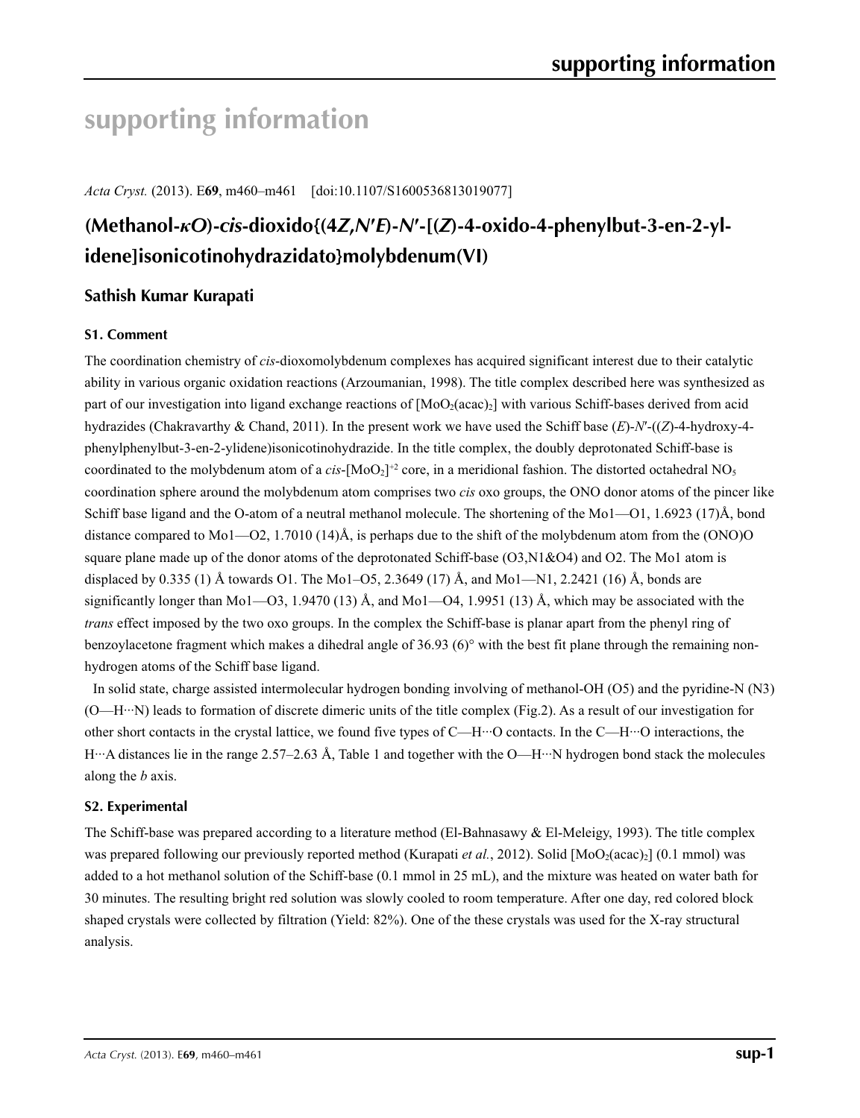# **supporting information**

*Acta Cryst.* (2013). E**69**, m460–m461 [doi:10.1107/S1600536813019077]

# **(Methanol-***κO***)-***cis***-dioxido{(4***Z***,***N***′***E***)-***N***′-[(***Z***)-4-oxido-4-phenylbut-3-en-2-ylidene]isonicotinohydrazidato}molybdenum(VI)**

## **Sathish Kumar Kurapati**

## **S1. Comment**

The coordination chemistry of *cis*-dioxomolybdenum complexes has acquired significant interest due to their catalytic ability in various organic oxidation reactions (Arzoumanian, 1998). The title complex described here was synthesized as part of our investigation into ligand exchange reactions of  $[MoO<sub>2</sub>(acac)<sub>2</sub>]$  with various Schiff-bases derived from acid hydrazides (Chakravarthy & Chand, 2011). In the present work we have used the Schiff base (*E*)-*N*′-((*Z*)-4-hydroxy-4 phenylphenylbut-3-en-2-ylidene)isonicotinohydrazide. In the title complex, the doubly deprotonated Schiff-base is coordinated to the molybdenum atom of a *cis*-[MoO<sub>2</sub>]<sup>+2</sup> core, in a meridional fashion. The distorted octahedral NO<sub>5</sub> coordination sphere around the molybdenum atom comprises two *cis* oxo groups, the ONO donor atoms of the pincer like Schiff base ligand and the O-atom of a neutral methanol molecule. The shortening of the Mo1—O1, 1.6923 (17)Å, bond distance compared to Mo1—O2, 1.7010 (14)Å, is perhaps due to the shift of the molybdenum atom from the (ONO)O square plane made up of the donor atoms of the deprotonated Schiff-base (O3,N1&O4) and O2. The Mo1 atom is displaced by 0.335 (1) Å towards O1. The Mo1–O5, 2.3649 (17) Å, and Mo1—N1, 2.2421 (16) Å, bonds are significantly longer than Mo1—O3, 1.9470 (13) Å, and Mo1—O4, 1.9951 (13) Å, which may be associated with the *trans* effect imposed by the two oxo groups. In the complex the Schiff-base is planar apart from the phenyl ring of benzoylacetone fragment which makes a dihedral angle of  $36.93\,(6)^\circ$  with the best fit plane through the remaining nonhydrogen atoms of the Schiff base ligand.

In solid state, charge assisted intermolecular hydrogen bonding involving of methanol-OH (O5) and the pyridine-N (N3) (O—H···N) leads to formation of discrete dimeric units of the title complex (Fig.2). As a result of our investigation for other short contacts in the crystal lattice, we found five types of C—H···O contacts. In the C—H···O interactions, the H···A distances lie in the range 2.57–2.63 Å, Table 1 and together with the O—H···N hydrogen bond stack the molecules along the *b* axis.

## **S2. Experimental**

The Schiff-base was prepared according to a literature method (El-Bahnasawy & El-Meleigy, 1993). The title complex was prepared following our previously reported method (Kurapati *et al.*, 2012). Solid [MoO<sub>2</sub>(acac)<sub>2</sub>] (0.1 mmol) was added to a hot methanol solution of the Schiff-base (0.1 mmol in 25 mL), and the mixture was heated on water bath for 30 minutes. The resulting bright red solution was slowly cooled to room temperature. After one day, red colored block shaped crystals were collected by filtration (Yield: 82%). One of the these crystals was used for the X-ray structural analysis.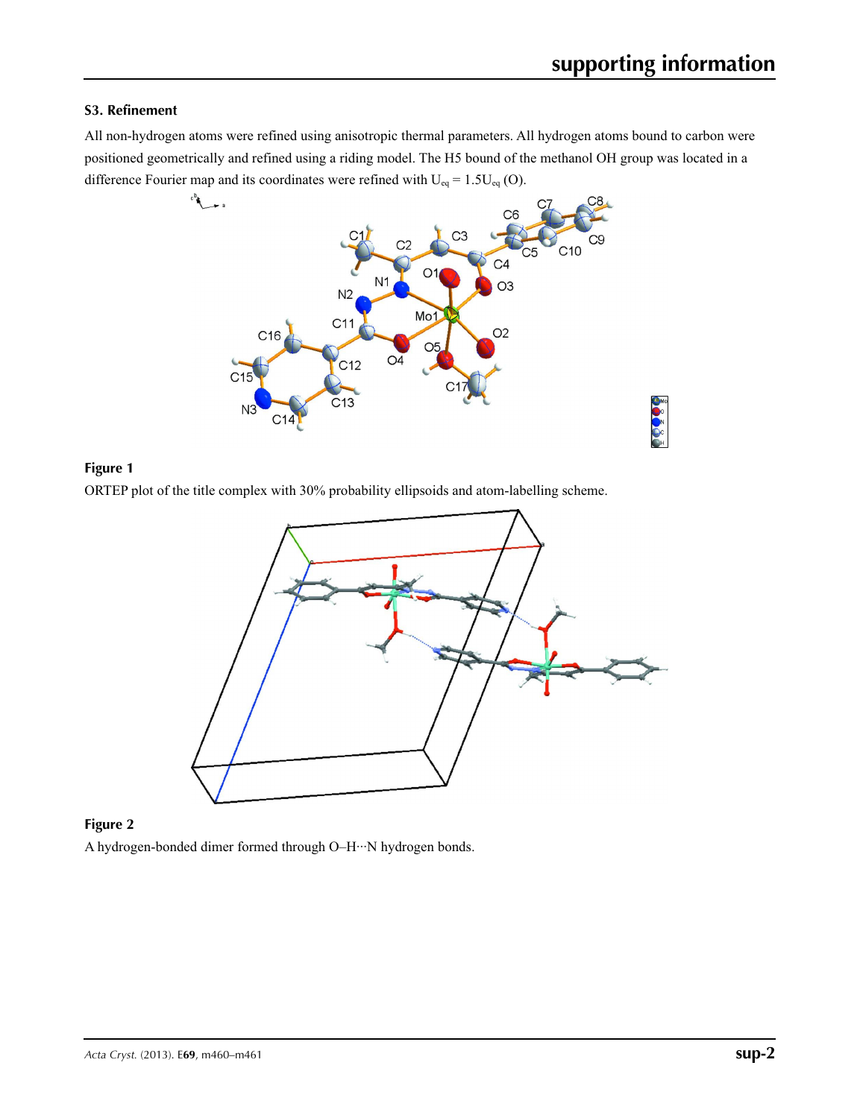## **S3. Refinement**

All non-hydrogen atoms were refined using anisotropic thermal parameters. All hydrogen atoms bound to carbon were positioned geometrically and refined using a riding model. The H5 bound of the methanol OH group was located in a



## **Figure 1**

ORTEP plot of the title complex with 30% probability ellipsoids and atom-labelling scheme.



## **Figure 2**

A hydrogen-bonded dimer formed through O–H···N hydrogen bonds.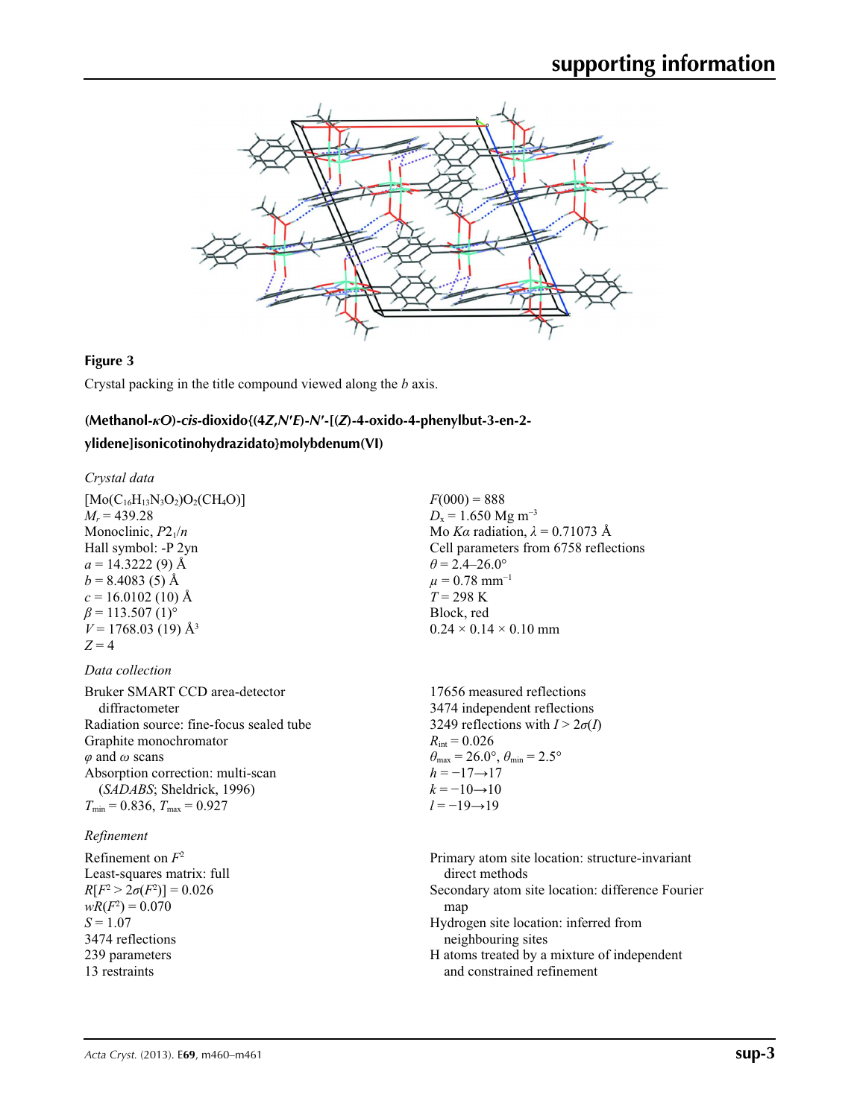

#### **Figure 3**

Crystal packing in the title compound viewed along the *b* axis.

#### **(Methanol-***κO***)-***cis***-dioxido{(4***Z***,***N***′***E***)-***N***′-[(***Z***)-4-oxido-4-phenylbut-3-en-2-**

#### **ylidene]isonicotinohydrazidato}molybdenum(VI)**

#### *Crystal data*

 $[Mo(C_{16}H_{13}N_3O_2)O_2(CH_4O)]$  $M_r = 439.28$ Monoclinic,  $P2_1/n$ Hall symbol: -P 2yn  $a = 14.3222(9)$  Å  $b = 8.4083(5)$  Å  $c = 16.0102$  (10) Å  $\beta$  = 113.507 (1)<sup>o</sup>  $V = 1768.03(19)$  Å<sup>3</sup>  $Z = 4$ 

#### *Data collection*

| Bruker SMART CCD area-detector           |
|------------------------------------------|
| diffractometer                           |
| Radiation source: fine-focus sealed tube |
| Graphite monochromator                   |
| $\varphi$ and $\omega$ scans             |
| Absorption correction: multi-scan        |
| (SADABS; Sheldrick, 1996)                |
| $T_{\min}$ = 0.836, $T_{\max}$ = 0.927   |

#### *Refinement*

Refinement on *F*<sup>2</sup> Least-squares matrix: full  $R[F^2 > 2\sigma(F^2)] = 0.026$  $wR(F^2) = 0.070$  $S = 1.07$ 3474 reflections 239 parameters 13 restraints

 $F(000) = 888$  $D_x = 1.650$  Mg m<sup>-3</sup> Mo *Kα* radiation, *λ* = 0.71073 Å Cell parameters from 6758 reflections  $\theta$  = 2.4–26.0°  $\mu = 0.78$  mm<sup>-1</sup>  $T = 298 \text{ K}$ Block, red  $0.24 \times 0.14 \times 0.10$  mm

17656 measured reflections 3474 independent reflections 3249 reflections with  $I > 2\sigma(I)$  $R_{\text{int}} = 0.026$  $\theta_{\text{max}} = 26.0^{\circ}, \theta_{\text{min}} = 2.5^{\circ}$  $h = -17 \rightarrow 17$  $k = -10 \rightarrow 10$ *l* = −19→19

Primary atom site location: structure-invariant direct methods Secondary atom site location: difference Fourier map Hydrogen site location: inferred from neighbouring sites H atoms treated by a mixture of independent and constrained refinement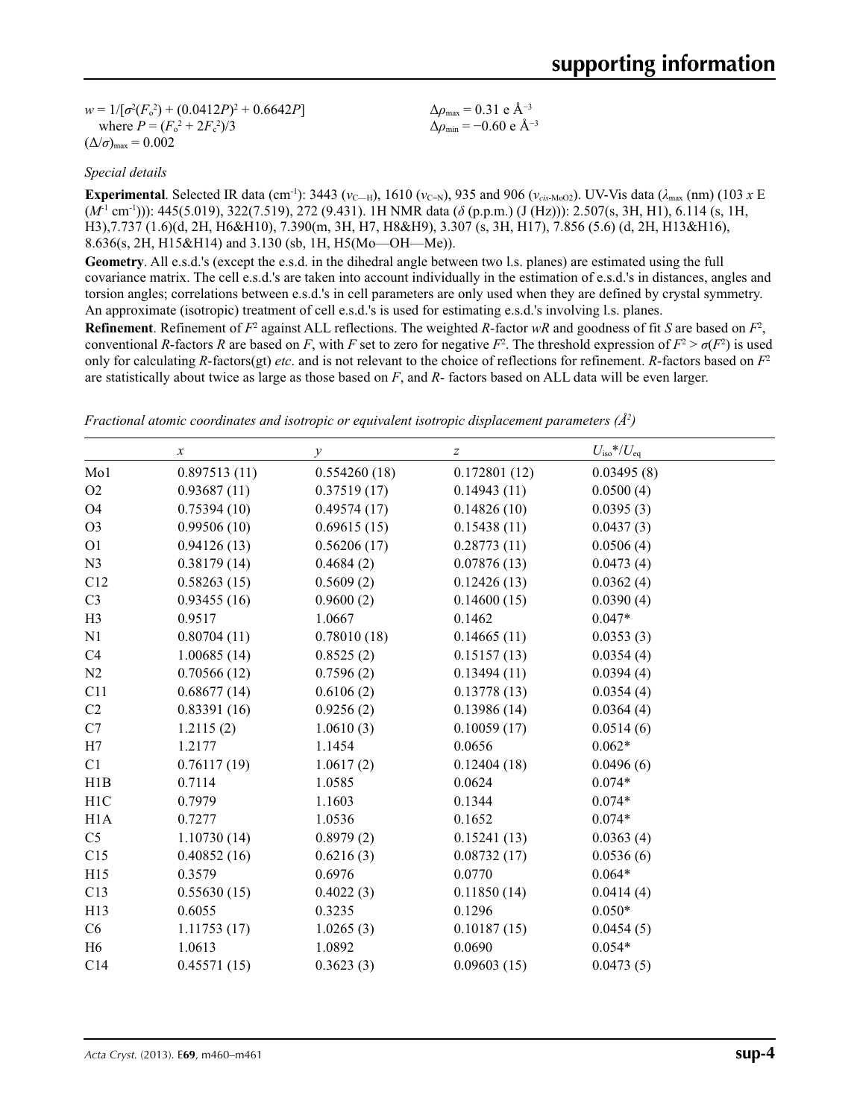$w = 1/[\sigma^2 (F_o^2) + (0.0412P)^2 + 0.6642P]$ where  $P = (F_o^2 + 2F_c^2)/3$  $(\Delta/\sigma)_{\text{max}} = 0.002$ 

Δ*ρ*max = 0.31 e Å−3  $\Delta \rho_{\text{min}} = -0.60 \text{ e A}^{-3}$ 

## *Special details*

**Experimental**. Selected IR data (cm<sup>-1</sup>): 3443 ( $v_{\text{C}-H}$ ), 1610 ( $v_{\text{C-N}}$ ), 935 and 906 ( $v_{\text{cis-MoO2}}$ ). UV-Vis data ( $\lambda_{\text{max}}$  (nm) (103 *x* E (*M*-1 cm-1))): 445(5.019), 322(7.519), 272 (9.431). 1H NMR data (*δ* (p.p.m.) (J (Hz))): 2.507(s, 3H, H1), 6.114 (s, 1H, H3),7.737 (1.6)(d, 2H, H6&H10), 7.390(m, 3H, H7, H8&H9), 3.307 (s, 3H, H17), 7.856 (5.6) (d, 2H, H13&H16), 8.636(s, 2H, H15&H14) and 3.130 (sb, 1H, H5(Mo—OH—Me)).

**Geometry**. All e.s.d.'s (except the e.s.d. in the dihedral angle between two l.s. planes) are estimated using the full covariance matrix. The cell e.s.d.'s are taken into account individually in the estimation of e.s.d.'s in distances, angles and torsion angles; correlations between e.s.d.'s in cell parameters are only used when they are defined by crystal symmetry. An approximate (isotropic) treatment of cell e.s.d.'s is used for estimating e.s.d.'s involving l.s. planes.

**Refinement**. Refinement of  $F^2$  against ALL reflections. The weighted *R*-factor  $wR$  and goodness of fit *S* are based on  $F^2$ , conventional *R*-factors *R* are based on *F*, with *F* set to zero for negative  $F^2$ . The threshold expression of  $F^2 > \sigma(F^2)$  is used only for calculating *R*-factors(gt) *etc*. and is not relevant to the choice of reflections for refinement. *R*-factors based on *F*<sup>2</sup> are statistically about twice as large as those based on *F*, and *R*- factors based on ALL data will be even larger.

*Fractional atomic coordinates and isotropic or equivalent isotropic displacement parameters (Å<sup>2</sup>)* 

|                | $\boldsymbol{x}$ | $\mathcal V$ | Z            | $U_{\rm iso}*/U_{\rm eq}$ |  |
|----------------|------------------|--------------|--------------|---------------------------|--|
| Mo1            | 0.897513(11)     | 0.554260(18) | 0.172801(12) | 0.03495(8)                |  |
| O2             | 0.93687(11)      | 0.37519(17)  | 0.14943(11)  | 0.0500(4)                 |  |
| O <sub>4</sub> | 0.75394(10)      | 0.49574(17)  | 0.14826(10)  | 0.0395(3)                 |  |
| O <sub>3</sub> | 0.99506(10)      | 0.69615(15)  | 0.15438(11)  | 0.0437(3)                 |  |
| O <sub>1</sub> | 0.94126(13)      | 0.56206(17)  | 0.28773(11)  | 0.0506(4)                 |  |
| N <sub>3</sub> | 0.38179(14)      | 0.4684(2)    | 0.07876(13)  | 0.0473(4)                 |  |
| C12            | 0.58263(15)      | 0.5609(2)    | 0.12426(13)  | 0.0362(4)                 |  |
| C <sub>3</sub> | 0.93455(16)      | 0.9600(2)    | 0.14600(15)  | 0.0390(4)                 |  |
| H3             | 0.9517           | 1.0667       | 0.1462       | $0.047*$                  |  |
| N1             | 0.80704(11)      | 0.78010(18)  | 0.14665(11)  | 0.0353(3)                 |  |
| C4             | 1.00685(14)      | 0.8525(2)    | 0.15157(13)  | 0.0354(4)                 |  |
| N2             | 0.70566(12)      | 0.7596(2)    | 0.13494(11)  | 0.0394(4)                 |  |
| C11            | 0.68677(14)      | 0.6106(2)    | 0.13778(13)  | 0.0354(4)                 |  |
| C2             | 0.83391(16)      | 0.9256(2)    | 0.13986(14)  | 0.0364(4)                 |  |
| C7             | 1.2115(2)        | 1.0610(3)    | 0.10059(17)  | 0.0514(6)                 |  |
| H7             | 1.2177           | 1.1454       | 0.0656       | $0.062*$                  |  |
| C1             | 0.76117(19)      | 1.0617(2)    | 0.12404(18)  | 0.0496(6)                 |  |
| H1B            | 0.7114           | 1.0585       | 0.0624       | $0.074*$                  |  |
| H1C            | 0.7979           | 1.1603       | 0.1344       | $0.074*$                  |  |
| H1A            | 0.7277           | 1.0536       | 0.1652       | $0.074*$                  |  |
| C <sub>5</sub> | 1.10730(14)      | 0.8979(2)    | 0.15241(13)  | 0.0363(4)                 |  |
| C15            | 0.40852(16)      | 0.6216(3)    | 0.08732(17)  | 0.0536(6)                 |  |
| H15            | 0.3579           | 0.6976       | 0.0770       | $0.064*$                  |  |
| C13            | 0.55630(15)      | 0.4022(3)    | 0.11850(14)  | 0.0414(4)                 |  |
| H13            | 0.6055           | 0.3235       | 0.1296       | $0.050*$                  |  |
| C6             | 1.11753(17)      | 1.0265(3)    | 0.10187(15)  | 0.0454(5)                 |  |
| H <sub>6</sub> | 1.0613           | 1.0892       | 0.0690       | $0.054*$                  |  |
| C14            | 0.45571(15)      | 0.3623(3)    | 0.09603(15)  | 0.0473(5)                 |  |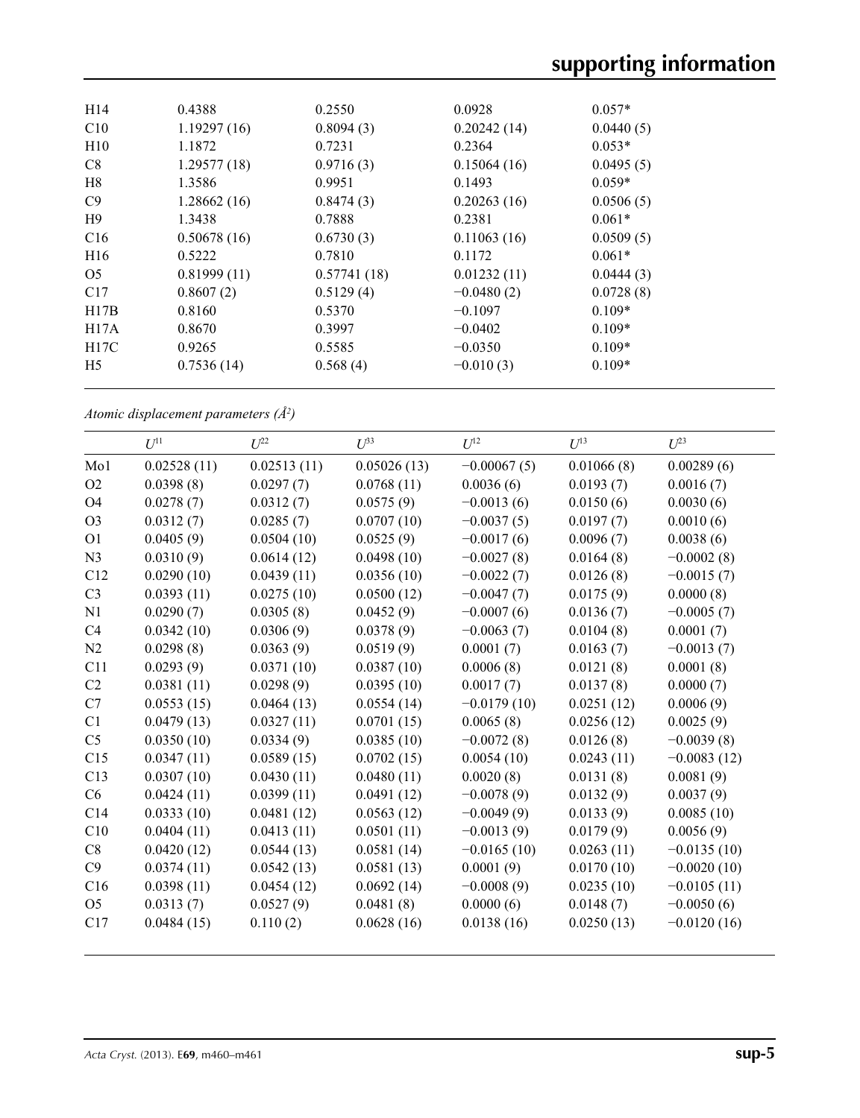| H <sub>14</sub>   | 0.4388      | 0.2550      | 0.0928       | $0.057*$  |
|-------------------|-------------|-------------|--------------|-----------|
| C10               | 1.19297(16) | 0.8094(3)   | 0.20242(14)  | 0.0440(5) |
| H10               | 1.1872      | 0.7231      | 0.2364       | $0.053*$  |
| C8                | 1.29577(18) | 0.9716(3)   | 0.15064(16)  | 0.0495(5) |
| H8                | 1.3586      | 0.9951      | 0.1493       | $0.059*$  |
| C9                | 1.28662(16) | 0.8474(3)   | 0.20263(16)  | 0.0506(5) |
| H9                | 1.3438      | 0.7888      | 0.2381       | $0.061*$  |
| C16               | 0.50678(16) | 0.6730(3)   | 0.11063(16)  | 0.0509(5) |
| H <sub>16</sub>   | 0.5222      | 0.7810      | 0.1172       | $0.061*$  |
| O <sub>5</sub>    | 0.81999(11) | 0.57741(18) | 0.01232(11)  | 0.0444(3) |
| C17               | 0.8607(2)   | 0.5129(4)   | $-0.0480(2)$ | 0.0728(8) |
| H17B              | 0.8160      | 0.5370      | $-0.1097$    | $0.109*$  |
| H17A              | 0.8670      | 0.3997      | $-0.0402$    | $0.109*$  |
| H <sub>17</sub> C | 0.9265      | 0.5585      | $-0.0350$    | $0.109*$  |
| H <sub>5</sub>    | 0.7536(14)  | 0.568(4)    | $-0.010(3)$  | $0.109*$  |
|                   |             |             |              |           |

*Atomic displacement parameters (Å2 )*

|                | $U^{11}$    | $U^{22}$    | $U^{33}$    | $U^{12}$      | $U^{13}$   | $U^{23}$      |
|----------------|-------------|-------------|-------------|---------------|------------|---------------|
| Mo1            | 0.02528(11) | 0.02513(11) | 0.05026(13) | $-0.00067(5)$ | 0.01066(8) | 0.00289(6)    |
| O2             | 0.0398(8)   | 0.0297(7)   | 0.0768(11)  | 0.0036(6)     | 0.0193(7)  | 0.0016(7)     |
| <b>O4</b>      | 0.0278(7)   | 0.0312(7)   | 0.0575(9)   | $-0.0013(6)$  | 0.0150(6)  | 0.0030(6)     |
| O <sub>3</sub> | 0.0312(7)   | 0.0285(7)   | 0.0707(10)  | $-0.0037(5)$  | 0.0197(7)  | 0.0010(6)     |
| O <sub>1</sub> | 0.0405(9)   | 0.0504(10)  | 0.0525(9)   | $-0.0017(6)$  | 0.0096(7)  | 0.0038(6)     |
| N <sub>3</sub> | 0.0310(9)   | 0.0614(12)  | 0.0498(10)  | $-0.0027(8)$  | 0.0164(8)  | $-0.0002(8)$  |
| C12            | 0.0290(10)  | 0.0439(11)  | 0.0356(10)  | $-0.0022(7)$  | 0.0126(8)  | $-0.0015(7)$  |
| C <sub>3</sub> | 0.0393(11)  | 0.0275(10)  | 0.0500(12)  | $-0.0047(7)$  | 0.0175(9)  | 0.0000(8)     |
| N <sub>1</sub> | 0.0290(7)   | 0.0305(8)   | 0.0452(9)   | $-0.0007(6)$  | 0.0136(7)  | $-0.0005(7)$  |
| C <sub>4</sub> | 0.0342(10)  | 0.0306(9)   | 0.0378(9)   | $-0.0063(7)$  | 0.0104(8)  | 0.0001(7)     |
| N2             | 0.0298(8)   | 0.0363(9)   | 0.0519(9)   | 0.0001(7)     | 0.0163(7)  | $-0.0013(7)$  |
| C11            | 0.0293(9)   | 0.0371(10)  | 0.0387(10)  | 0.0006(8)     | 0.0121(8)  | 0.0001(8)     |
| C <sub>2</sub> | 0.0381(11)  | 0.0298(9)   | 0.0395(10)  | 0.0017(7)     | 0.0137(8)  | 0.0000(7)     |
| C7             | 0.0553(15)  | 0.0464(13)  | 0.0554(14)  | $-0.0179(10)$ | 0.0251(12) | 0.0006(9)     |
| C1             | 0.0479(13)  | 0.0327(11)  | 0.0701(15)  | 0.0065(8)     | 0.0256(12) | 0.0025(9)     |
| C <sub>5</sub> | 0.0350(10)  | 0.0334(9)   | 0.0385(10)  | $-0.0072(8)$  | 0.0126(8)  | $-0.0039(8)$  |
| C15            | 0.0347(11)  | 0.0589(15)  | 0.0702(15)  | 0.0054(10)    | 0.0243(11) | $-0.0083(12)$ |
| C13            | 0.0307(10)  | 0.0430(11)  | 0.0480(11)  | 0.0020(8)     | 0.0131(8)  | 0.0081(9)     |
| C6             | 0.0424(11)  | 0.0399(11)  | 0.0491(12)  | $-0.0078(9)$  | 0.0132(9)  | 0.0037(9)     |
| C14            | 0.0333(10)  | 0.0481(12)  | 0.0563(12)  | $-0.0049(9)$  | 0.0133(9)  | 0.0085(10)    |
| C10            | 0.0404(11)  | 0.0413(11)  | 0.0501(11)  | $-0.0013(9)$  | 0.0179(9)  | 0.0056(9)     |
| C8             | 0.0420(12)  | 0.0544(13)  | 0.0581(14)  | $-0.0165(10)$ | 0.0263(11) | $-0.0135(10)$ |
| C9             | 0.0374(11)  | 0.0542(13)  | 0.0581(13)  | 0.0001(9)     | 0.0170(10) | $-0.0020(10)$ |
| C16            | 0.0398(11)  | 0.0454(12)  | 0.0692(14)  | $-0.0008(9)$  | 0.0235(10) | $-0.0105(11)$ |
| O <sub>5</sub> | 0.0313(7)   | 0.0527(9)   | 0.0481(8)   | 0.0000(6)     | 0.0148(7)  | $-0.0050(6)$  |
| C17            | 0.0484(15)  | 0.110(2)    | 0.0628(16)  | 0.0138(16)    | 0.0250(13) | $-0.0120(16)$ |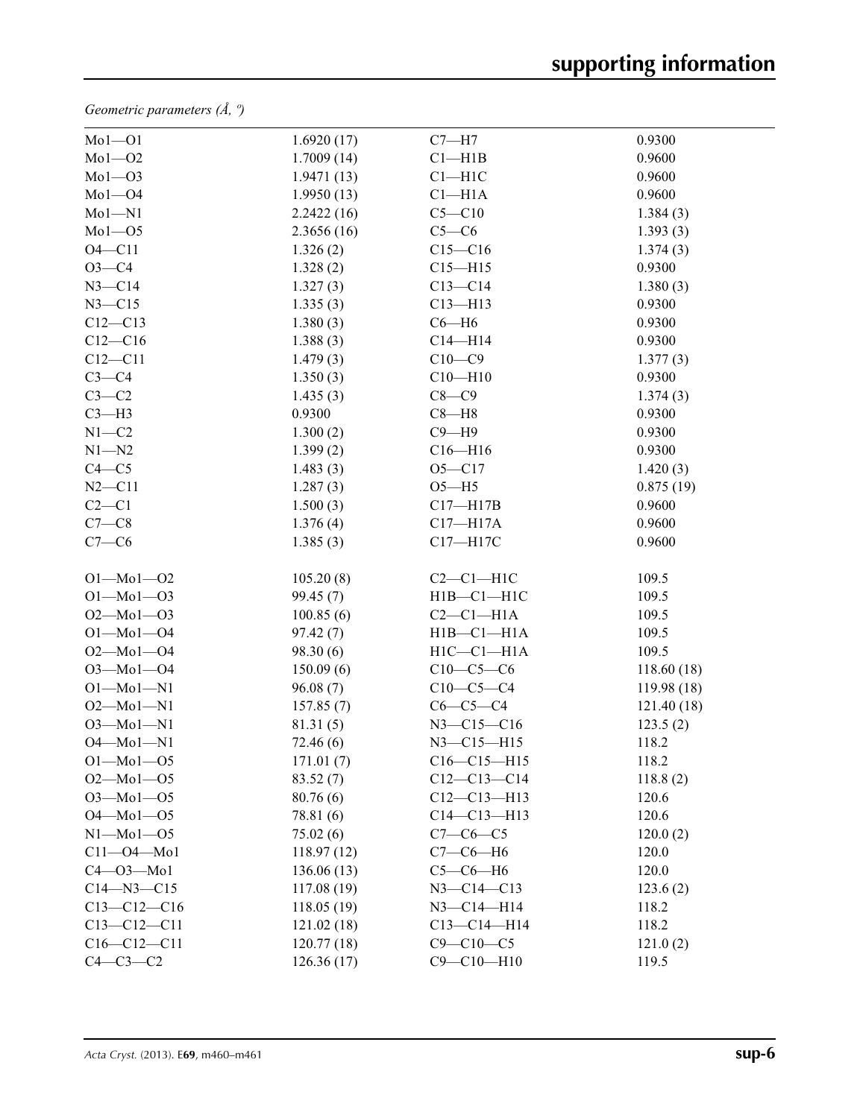*Geometric parameters (Å, º)*

| $Mol$ -Ol         | 1.6920(17)  | $C7 - H7$         | 0.9300      |
|-------------------|-------------|-------------------|-------------|
| $Mo1-O2$          | 1.7009(14)  | Cl—H1B            | 0.9600      |
| $Mo1 - O3$        | 1.9471(13)  | $Cl-H1C$          | 0.9600      |
| $Mo1 - O4$        | 1.9950(13)  | $Cl-H1A$          | 0.9600      |
| $Mo1-N1$          | 2.2422(16)  | $C5 - C10$        | 1.384(3)    |
| $Mo1 - O5$        | 2.3656(16)  | $C5-C6$           | 1.393(3)    |
| $O4 - C11$        | 1.326(2)    | $C15 - C16$       | 1.374(3)    |
| $O3 - C4$         | 1.328(2)    | $C15 - H15$       | 0.9300      |
| $N3 - C14$        | 1.327(3)    | $C13 - C14$       | 1.380(3)    |
| $N3 - C15$        | 1.335(3)    | $C13 - H13$       | 0.9300      |
| $C12 - C13$       | 1.380(3)    | $C6 - H6$         | 0.9300      |
| $C12 - C16$       | 1.388(3)    | $C14 - H14$       | 0.9300      |
| $C12-C11$         | 1.479(3)    | $C10 - C9$        | 1.377(3)    |
| $C3-C4$           | 1.350(3)    | $C10 - H10$       | 0.9300      |
| $C3-C2$           | 1.435(3)    | $C8-C9$           | 1.374(3)    |
| $C3-H3$           | 0.9300      | $C8 - H8$         | 0.9300      |
| $N1 - C2$         | 1.300(2)    | $C9 - H9$         | 0.9300      |
| $N1 - N2$         | 1.399(2)    | $C16 - H16$       | 0.9300      |
| $C4 - C5$         | 1.483(3)    | $O5 - C17$        | 1.420(3)    |
| $N2 - C11$        | 1.287(3)    | $O5 - H5$         | 0.875(19)   |
| $C2-C1$           | 1.500(3)    | $C17 - H17B$      | 0.9600      |
| $C7-C8$           | 1.376(4)    | $C17 - H17A$      | 0.9600      |
| $C7-C6$           | 1.385(3)    | C17-H17C          | 0.9600      |
| $O1 - Mo1 - O2$   | 105.20(8)   | $C2-C1-H1C$       | 109.5       |
| $O1 - Mo1 - O3$   | 99.45 (7)   | $H1B - C1 - H1C$  | 109.5       |
| $O2 - Mo1 - O3$   | 100.85(6)   | $C2-C1-H1A$       | 109.5       |
| $O1 - Mo1 - O4$   | 97.42(7)    | $H1B - C1 - H1A$  | 109.5       |
| $O2 - Mo1 - O4$   | 98.30(6)    | $H1C - C1 - H1A$  | 109.5       |
| $O3 - Mo1 - O4$   | 150.09(6)   | $C10-C5-C6$       | 118.60 (18) |
| $O1 - Mo1 - N1$   | 96.08(7)    | $C10-C5-C4$       | 119.98 (18) |
| $O2 - Mo1 - N1$   | 157.85(7)   | $C6-C5-C4$        | 121.40(18)  |
| $O3 - Mo1 - N1$   | 81.31(5)    | N3-C15-C16        | 123.5(2)    |
| $O4 - Mo1 - N1$   | 72.46(6)    | $N3 - C15 - H15$  | 118.2       |
| $O1 - Mo1 - O5$   | 171.01(7)   | $C16 - C15 - H15$ | 118.2       |
| $O2 - Mo1 - O5$   | 83.52(7)    | $C12-C13-C14$     | 118.8(2)    |
| $O3 - Mo1 - O5$   | 80.76(6)    | $C12-C13-H13$     | 120.6       |
| $O4 - Mo1 - O5$   | 78.81 (6)   | $C14 - C13 - H13$ | 120.6       |
| $N1 - Mo1 - O5$   | 75.02(6)    | $C7 - C6 - C5$    | 120.0(2)    |
| $C11 - O4 - Mo1$  | 118.97(12)  | $C7-C6-H6$        | 120.0       |
| $C4 - O3 - Mo1$   | 136.06(13)  | $C5-C6-H6$        | 120.0       |
| $C14 - N3 - C15$  | 117.08(19)  | $N3 - C14 - C13$  | 123.6(2)    |
| $C13-C12-C16$     | 118.05 (19) | $N3 - C14 - H14$  | 118.2       |
| $C13 - C12 - C11$ | 121.02(18)  | $C13 - C14 - H14$ | 118.2       |
| $C16 - C12 - C11$ | 120.77(18)  | $C9 - C10 - C5$   | 121.0(2)    |
| $C4-C3-C2$        | 126.36(17)  | $C9 - C10 - H10$  | 119.5       |